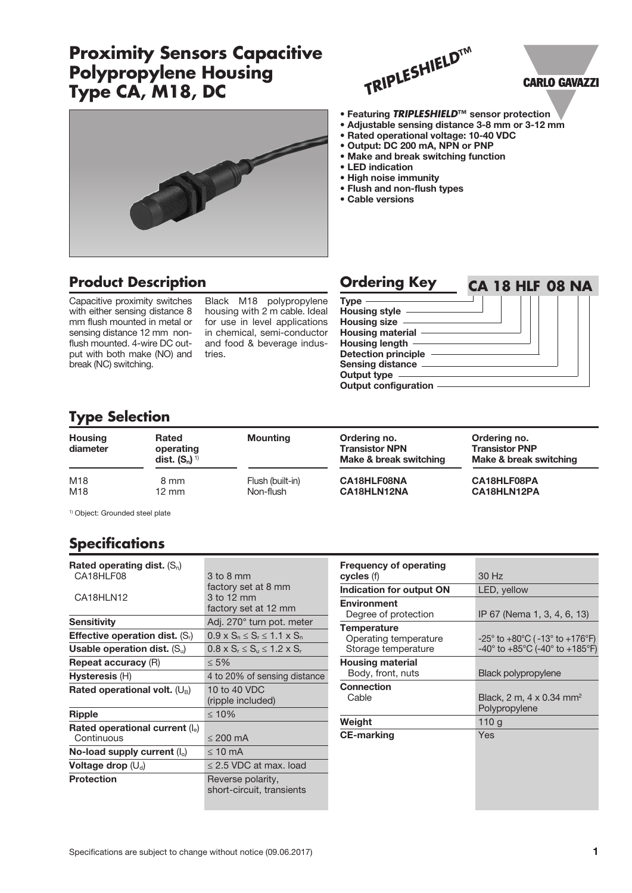# **Proximity Sensors Capacitive Polypropylene Housing Type CA, M18, DC**

DIDA



### **CARLO GAVAZZI**

- Featuring *TRIPLESHIELD***™** sensor protection
- Adjustable sensing distance 3-8 mm or 3-12 mm
- Rated operational voltage: 10-40 VDC
- Output: DC 200 mA, NPN or PNP
- Make and break switching function
- LED indication
- High noise immunity
- Flush and non-flush types
- Cable versions

## **Product Description**

Capacitive proximity switches with either sensing distance 8 mm flush mounted in metal or sensing distance 12 mm nonflush mounted. 4-wire DC output with both make (NO) and break (NC) switching.

Black M18 polypropylene housing with 2 m cable. Ideal for use in level applications in chemical, semi-conductor and food & beverage industries.

| <b>Ordering Key</b>         | <b>CA 18 HLF 08 NA</b> |
|-----------------------------|------------------------|
| <b>Type</b>                 |                        |
| Housing style -             |                        |
| Housing size -              |                        |
| Housing material -          |                        |
| Housing length -            |                        |
| Detection principle         |                        |
| <b>Sensing distance</b>     |                        |
| <b>Output type</b>          |                        |
| <b>Output configuration</b> |                        |

## **Type Selection**

| <b>Housing</b><br>diameter | <b>Rated</b><br>operating<br>dist. $(S_n)^{1}$ | <b>Mounting</b>  | Ordering no.<br><b>Transistor NPN</b><br>Make & break switching | Ordering no.<br><b>Transistor PNP</b><br>Make & break switching |
|----------------------------|------------------------------------------------|------------------|-----------------------------------------------------------------|-----------------------------------------------------------------|
| M18                        | 8 mm                                           | Flush (built-in) | CA18HLF08NA                                                     | CA18HLF08PA                                                     |
| M18                        | 12 mm                                          | Non-flush        | CA18HLN12NA                                                     | CA18HLN12PA                                                     |

1) Object: Grounded steel plate

## **Specifications**

| Rated operating dist. $(S_n)$<br>CA18HLF08      | 3 to 8 mm<br>factory set at 8 mm               |
|-------------------------------------------------|------------------------------------------------|
| CA18HLN12                                       | 3 to 12 mm<br>factory set at 12 mm             |
| <b>Sensitivity</b>                              | Adj. 270° turn pot. meter                      |
| <b>Effective operation dist.</b> $(S_i)$        | $0.9 \times S_n \leq S_r \leq 1.1 \times S_n$  |
| Usable operation dist. $(S_u)$                  | $0.8 \times S_r \le S_u \le 1.2 \times S_r$    |
| <b>Repeat accuracy (R)</b>                      | $\leq 5\%$                                     |
| Hysteresis (H)                                  | 4 to 20% of sensing distance                   |
| Rated operational volt. $(U_B)$                 | 10 to 40 VDC<br>(ripple included)              |
| Ripple                                          | $\leq 10\%$                                    |
| Rated operational current $(I_e)$<br>Continuous | $\leq$ 200 mA                                  |
| No-load supply current $(I_0)$                  | $\leq 10$ mA                                   |
| Voltage drop $(\bigcup_{d} )$                   | $\leq$ 2.5 VDC at max. load                    |
| <b>Protection</b>                               | Reverse polarity,<br>short-circuit, transients |

| <b>Frequency of operating</b> |                                                                       |
|-------------------------------|-----------------------------------------------------------------------|
| cycles (f)                    | 30 Hz                                                                 |
| Indication for output ON      | LED, yellow                                                           |
| <b>Environment</b>            |                                                                       |
| Degree of protection          | IP 67 (Nema 1, 3, 4, 6, 13)                                           |
| <b>Temperature</b>            |                                                                       |
| Operating temperature         | $-25^{\circ}$ to $+80^{\circ}$ C ( $-13^{\circ}$ to $+176^{\circ}$ F) |
| Storage temperature           | $-40^{\circ}$ to $+85^{\circ}$ C (-40° to $+185^{\circ}$ F)           |
| <b>Housing material</b>       |                                                                       |
| Body, front, nuts             | Black polypropylene                                                   |
| Connection                    |                                                                       |
| Cable                         | Black, 2 m, 4 x 0.34 mm <sup>2</sup>                                  |
|                               | Polypropylene                                                         |
| Weight                        | 110g                                                                  |
| <b>CE-marking</b>             | Yes                                                                   |
|                               |                                                                       |
|                               |                                                                       |
|                               |                                                                       |